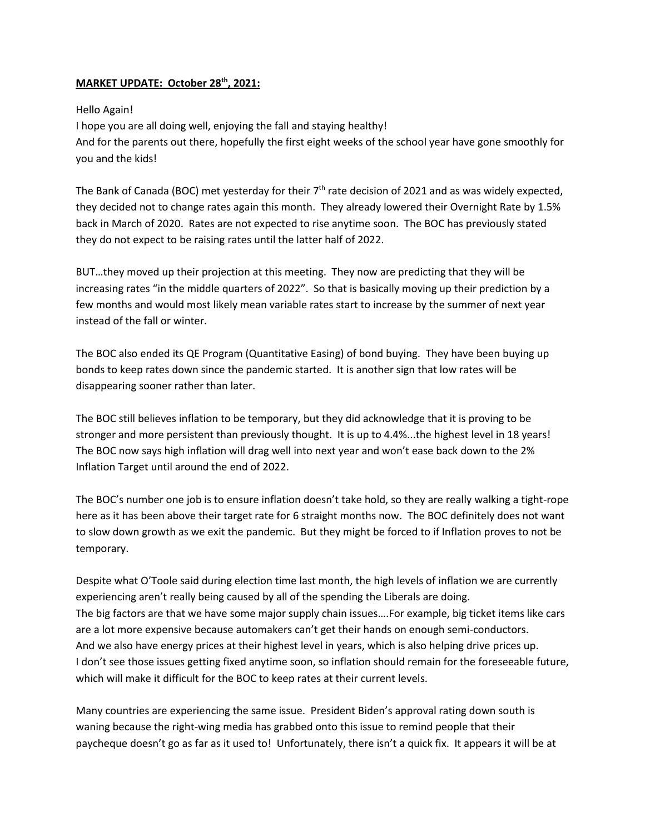## **MARKET UPDATE: October 28th, 2021:**

## Hello Again!

I hope you are all doing well, enjoying the fall and staying healthy! And for the parents out there, hopefully the first eight weeks of the school year have gone smoothly for you and the kids!

The Bank of Canada (BOC) met yesterday for their  $7<sup>th</sup>$  rate decision of 2021 and as was widely expected, they decided not to change rates again this month. They already lowered their Overnight Rate by 1.5% back in March of 2020. Rates are not expected to rise anytime soon. The BOC has previously stated they do not expect to be raising rates until the latter half of 2022.

BUT…they moved up their projection at this meeting. They now are predicting that they will be increasing rates "in the middle quarters of 2022". So that is basically moving up their prediction by a few months and would most likely mean variable rates start to increase by the summer of next year instead of the fall or winter.

The BOC also ended its QE Program (Quantitative Easing) of bond buying. They have been buying up bonds to keep rates down since the pandemic started. It is another sign that low rates will be disappearing sooner rather than later.

The BOC still believes inflation to be temporary, but they did acknowledge that it is proving to be stronger and more persistent than previously thought. It is up to 4.4%...the highest level in 18 years! The BOC now says high inflation will drag well into next year and won't ease back down to the 2% Inflation Target until around the end of 2022.

The BOC's number one job is to ensure inflation doesn't take hold, so they are really walking a tight-rope here as it has been above their target rate for 6 straight months now. The BOC definitely does not want to slow down growth as we exit the pandemic. But they might be forced to if Inflation proves to not be temporary.

Despite what O'Toole said during election time last month, the high levels of inflation we are currently experiencing aren't really being caused by all of the spending the Liberals are doing. The big factors are that we have some major supply chain issues….For example, big ticket items like cars are a lot more expensive because automakers can't get their hands on enough semi-conductors. And we also have energy prices at their highest level in years, which is also helping drive prices up. I don't see those issues getting fixed anytime soon, so inflation should remain for the foreseeable future, which will make it difficult for the BOC to keep rates at their current levels.

Many countries are experiencing the same issue. President Biden's approval rating down south is waning because the right-wing media has grabbed onto this issue to remind people that their paycheque doesn't go as far as it used to! Unfortunately, there isn't a quick fix. It appears it will be at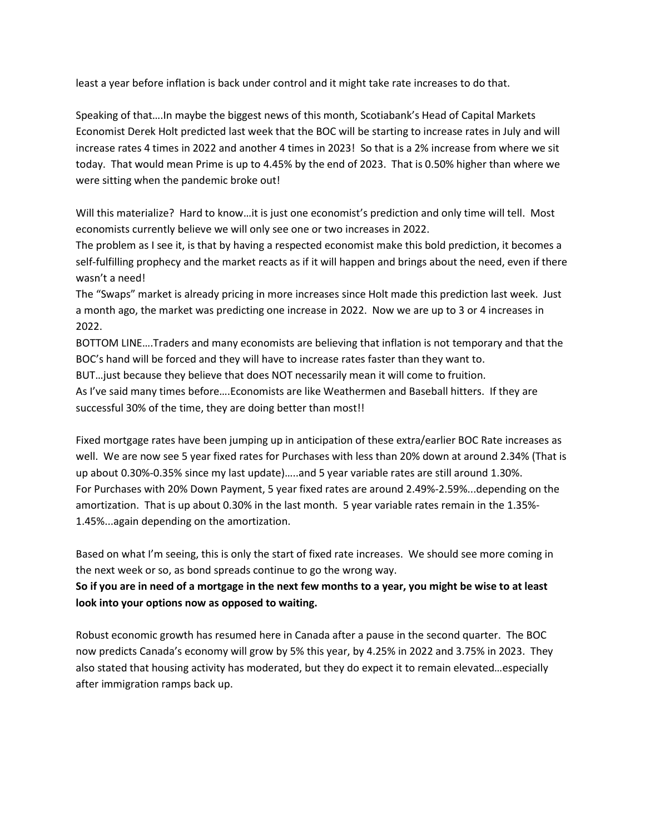least a year before inflation is back under control and it might take rate increases to do that.

Speaking of that….In maybe the biggest news of this month, Scotiabank's Head of Capital Markets Economist Derek Holt predicted last week that the BOC will be starting to increase rates in July and will increase rates 4 times in 2022 and another 4 times in 2023! So that is a 2% increase from where we sit today. That would mean Prime is up to 4.45% by the end of 2023. That is 0.50% higher than where we were sitting when the pandemic broke out!

Will this materialize? Hard to know…it is just one economist's prediction and only time will tell. Most economists currently believe we will only see one or two increases in 2022.

The problem as I see it, is that by having a respected economist make this bold prediction, it becomes a self-fulfilling prophecy and the market reacts as if it will happen and brings about the need, even if there wasn't a need!

The "Swaps" market is already pricing in more increases since Holt made this prediction last week. Just a month ago, the market was predicting one increase in 2022. Now we are up to 3 or 4 increases in 2022.

BOTTOM LINE….Traders and many economists are believing that inflation is not temporary and that the BOC's hand will be forced and they will have to increase rates faster than they want to.

BUT…just because they believe that does NOT necessarily mean it will come to fruition.

As I've said many times before….Economists are like Weathermen and Baseball hitters. If they are successful 30% of the time, they are doing better than most!!

Fixed mortgage rates have been jumping up in anticipation of these extra/earlier BOC Rate increases as well. We are now see 5 year fixed rates for Purchases with less than 20% down at around 2.34% (That is up about 0.30%-0.35% since my last update)…..and 5 year variable rates are still around 1.30%. For Purchases with 20% Down Payment, 5 year fixed rates are around 2.49%-2.59%...depending on the amortization. That is up about 0.30% in the last month. 5 year variable rates remain in the 1.35%- 1.45%...again depending on the amortization.

Based on what I'm seeing, this is only the start of fixed rate increases. We should see more coming in the next week or so, as bond spreads continue to go the wrong way.

**So if you are in need of a mortgage in the next few months to a year, you might be wise to at least look into your options now as opposed to waiting.**

Robust economic growth has resumed here in Canada after a pause in the second quarter. The BOC now predicts Canada's economy will grow by 5% this year, by 4.25% in 2022 and 3.75% in 2023. They also stated that housing activity has moderated, but they do expect it to remain elevated…especially after immigration ramps back up.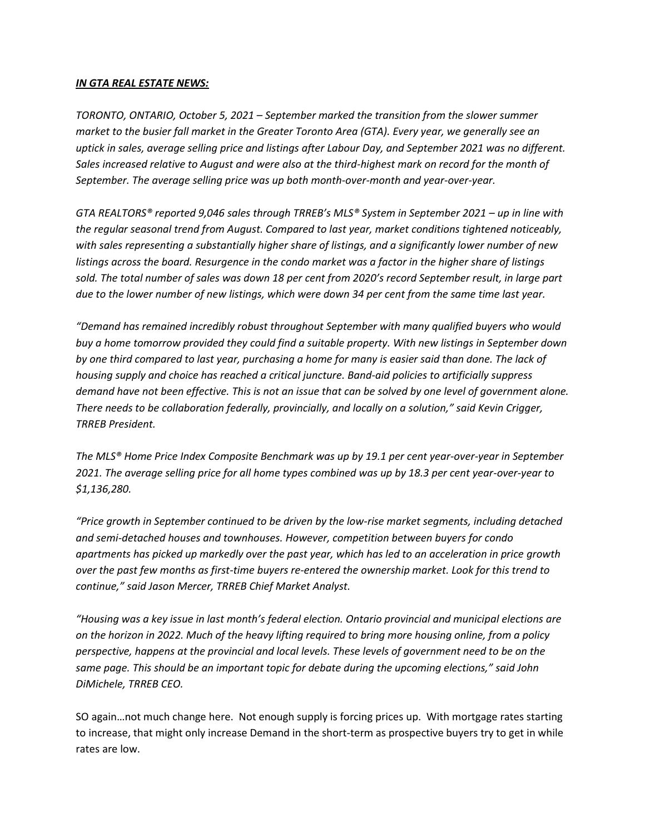## *IN GTA REAL ESTATE NEWS:*

*TORONTO, ONTARIO, October 5, 2021 – September marked the transition from the slower summer market to the busier fall market in the Greater Toronto Area (GTA). Every year, we generally see an uptick in sales, average selling price and listings after Labour Day, and September 2021 was no different. Sales increased relative to August and were also at the third-highest mark on record for the month of September. The average selling price was up both month-over-month and year-over-year.* 

*GTA REALTORS® reported 9,046 sales through TRREB's MLS® System in September 2021 – up in line with the regular seasonal trend from August. Compared to last year, market conditions tightened noticeably, with sales representing a substantially higher share of listings, and a significantly lower number of new listings across the board. Resurgence in the condo market was a factor in the higher share of listings sold. The total number of sales was down 18 per cent from 2020's record September result, in large part due to the lower number of new listings, which were down 34 per cent from the same time last year.* 

*"Demand has remained incredibly robust throughout September with many qualified buyers who would buy a home tomorrow provided they could find a suitable property. With new listings in September down by one third compared to last year, purchasing a home for many is easier said than done. The lack of housing supply and choice has reached a critical juncture. Band-aid policies to artificially suppress demand have not been effective. This is not an issue that can be solved by one level of government alone. There needs to be collaboration federally, provincially, and locally on a solution," said Kevin Crigger, TRREB President.* 

*The MLS® Home Price Index Composite Benchmark was up by 19.1 per cent year-over-year in September 2021. The average selling price for all home types combined was up by 18.3 per cent year-over-year to \$1,136,280.* 

*"Price growth in September continued to be driven by the low-rise market segments, including detached and semi-detached houses and townhouses. However, competition between buyers for condo apartments has picked up markedly over the past year, which has led to an acceleration in price growth over the past few months as first-time buyers re-entered the ownership market. Look for this trend to continue," said Jason Mercer, TRREB Chief Market Analyst.* 

*"Housing was a key issue in last month's federal election. Ontario provincial and municipal elections are on the horizon in 2022. Much of the heavy lifting required to bring more housing online, from a policy perspective, happens at the provincial and local levels. These levels of government need to be on the same page. This should be an important topic for debate during the upcoming elections," said John DiMichele, TRREB CEO.*

SO again…not much change here. Not enough supply is forcing prices up. With mortgage rates starting to increase, that might only increase Demand in the short-term as prospective buyers try to get in while rates are low.